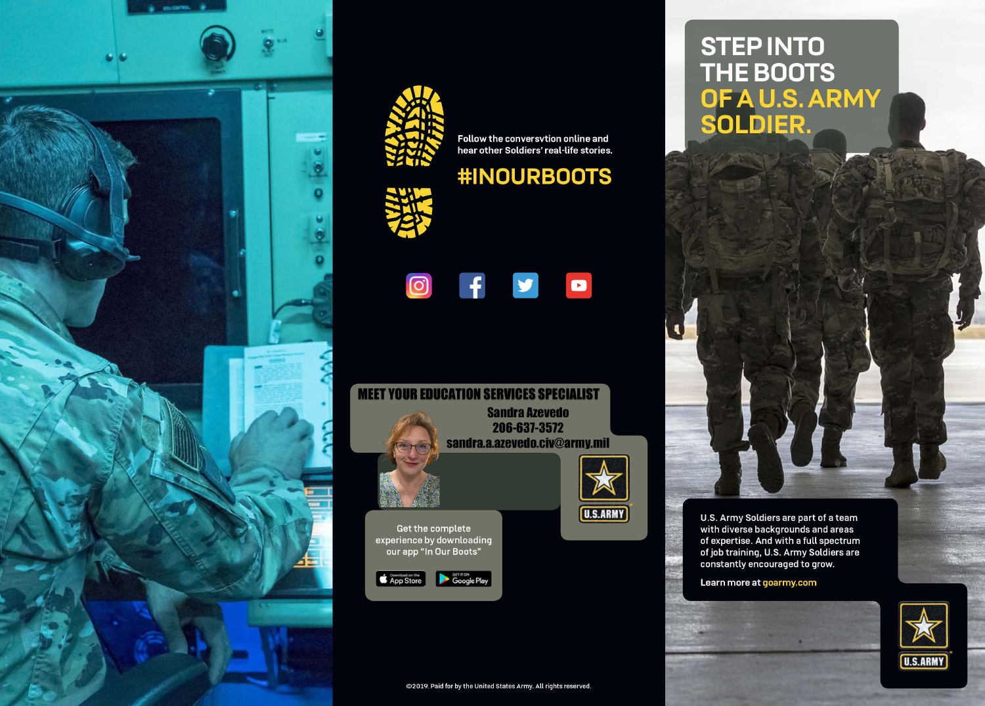



Follow the conversvtion online and hear other Soldiers' real-life stories.

# **#INOURBOOTS**





**U.S.ARMY** 

Get the complete experience by downloading our app "In Our Boots"



**STEP INTO** THE BOOTS<br>OF A U.S. ARMY<br>SOLDIER.



U.S. Army Soldiers are part of a team with diverse backgrounds and areas of expertise. And with a full spectrum of job training, U.S. Army Soldiers are constantly encouraged to grow.

Learn more at goarmy.com